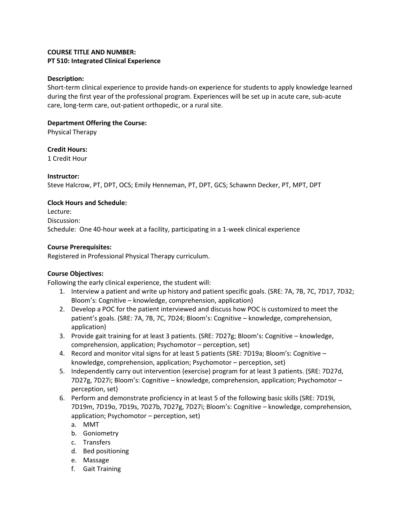#### **COURSE TITLE AND NUMBER: PT 510: Integrated Clinical Experience**

#### **Description:**

Short-term clinical experience to provide hands-on experience for students to apply knowledge learned during the first year of the professional program. Experiences will be set up in acute care, sub-acute care, long-term care, out-patient orthopedic, or a rural site.

## **Department Offering the Course:**

Physical Therapy

### **Credit Hours:**

1 Credit Hour

### **Instructor:**

Steve Halcrow, PT, DPT, OCS; Emily Henneman, PT, DPT, GCS; Schawnn Decker, PT, MPT, DPT

### **Clock Hours and Schedule:**

Lecture: Discussion: Schedule: One 40-hour week at a facility, participating in a 1-week clinical experience

### **Course Prerequisites:**

Registered in Professional Physical Therapy curriculum.

# **Course Objectives:**

Following the early clinical experience, the student will:

- 1. Interview a patient and write up history and patient specific goals. (SRE: 7A, 7B, 7C, 7D17, 7D32; Bloom's: Cognitive – knowledge, comprehension, application)
- 2. Develop a POC for the patient interviewed and discuss how POC is customized to meet the patient's goals. (SRE: 7A, 7B, 7C, 7D24; Bloom's: Cognitive – knowledge, comprehension, application)
- 3. Provide gait training for at least 3 patients. (SRE: 7D27g; Bloom's: Cognitive knowledge, comprehension, application; Psychomotor – perception, set)
- 4. Record and monitor vital signs for at least 5 patients (SRE: 7D19a; Bloom's: Cognitive knowledge, comprehension, application; Psychomotor – perception, set)
- 5. Independently carry out intervention (exercise) program for at least 3 patients. (SRE: 7D27d, 7D27g, 7D27i; Bloom's: Cognitive – knowledge, comprehension, application; Psychomotor – perception, set)
- 6. Perform and demonstrate proficiency in at least 5 of the following basic skills (SRE: 7D19i, 7D19m, 7D19o, 7D19s, 7D27b, 7D27g, 7D27i; Bloom's: Cognitive – knowledge, comprehension, application; Psychomotor – perception, set)
	- a. MMT
	- b. Goniometry
	- c. Transfers
	- d. Bed positioning
	- e. Massage
	- f. Gait Training